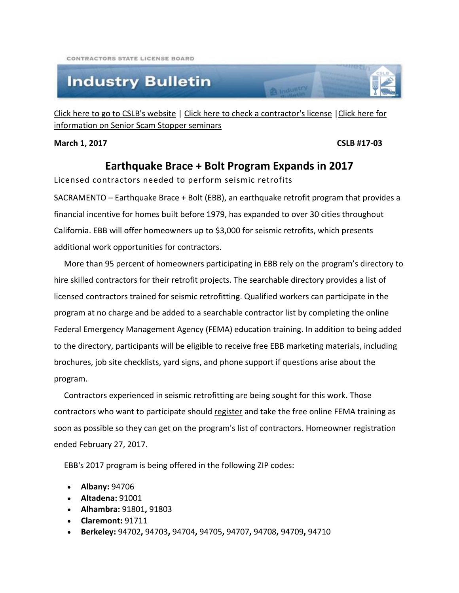CONTRACTORS STATE LICENSE BOARD

## **Industry Bulletin**

[Click here to go to CSLB's website](http://www.cslb.ca.gov/) | [Click here to check a contractor's license](http://www.checkthelicensefirst.com/) [|Click here for](http://www.seniorscamstopper.com/)  [information on Senior Scam Stopper seminars](http://www.seniorscamstopper.com/)

**B** Industry

**March 1, 2017 CSLB #17-03**

## **Earthquake Brace + Bolt Program Expands in 2017**

Licensed contractors needed to perform seismic retrofits

SACRAMENTO – Earthquake Brace + Bolt (EBB), an earthquake retrofit program that provides a financial incentive for homes built before 1979, has expanded to over 30 cities throughout California. EBB will offer homeowners up to \$3,000 for seismic retrofits, which presents additional work opportunities for contractors.

 More than 95 percent of homeowners participating in EBB rely on the program's directory to hire skilled contractors for their retrofit projects. The searchable directory provides a list of licensed contractors trained for seismic retrofitting. Qualified workers can participate in the program at no charge and be added to a searchable contractor list by completing the online Federal Emergency Management Agency (FEMA) education training. In addition to being added to the directory, participants will be eligible to receive free EBB marketing materials, including brochures, job site checklists, yard signs, and phone support if questions arise about the program.

 Contractors experienced in seismic retrofitting are being sought for this work. Those contractors who want to participate should [register](https://www.earthquakebracebolt.com/Content/AboutContractorProgram) and take the free online FEMA training as soon as possible so they can get on the program's list of contractors. Homeowner registration ended February 27, 2017.

EBB's 2017 program is being offered in the following ZIP codes:

- **Albany:** [94706](https://www.google.com/maps/place/Albany,+CA/@37.8901387,-122.3224707,14z/data=!3m1!4b1!4m2!3m1!1s0x808578d2d25b053d:0xd5b038d13f07112f?hl=en)
- **Altadena:** [91001](https://www.google.com/maps/place/Altadena,+CA+91001/@34.2131186,-118.194817,12z/data=!3m1!4b1!4m5!3m4!1s0x80c2c293415ee139:0x3b6fd8ef648bea42!8m2!3d34.2103962!4d-118.1239717?hl=en)
- **Alhambra:** [91801](https://www.google.com/maps/place/Alhambra,+CA+91801/@34.0904922,-118.1519275,14z/data=!3m1!4b1!4m5!3m4!1s0x80c2c521f3b883fd:0xe98b5389c1e13d19!8m2!3d34.0837958!4d-118.1181199?hl=en)**,** [91803](https://www.google.com/maps/place/Alhambra,+CA+91803/@34.0761192,-118.16159,14z/data=!3m1!4b1!4m5!3m4!1s0x80c2c5126e936777:0x58014844bd7ad194!8m2!3d34.0779881!4d-118.1415261?hl=en)
- **Claremont:** [91711](https://www.google.com/maps/place/Claremont,+CA/@34.1224305,-117.7492884,13z/data=!3m1!4b1!4m5!3m4!1s0x80c33a947ba7f65f:0xd57add892abc374d!8m2!3d34.0966764!4d-117.7197785?hl=en)
- **Berkeley:** [94702](https://www.google.com/maps/place/Berkeley,+CA+94702/@37.8642307,-122.3048646,14z/data=!3m1!4b1!4m2!3m1!1s0x80857e9342f5fe89:0x341916f8e5dd9db0?hl=en)**,** [94703](https://www.google.com/maps/place/Berkeley,+CA+94703/@37.8653523,-122.3097705,13z/data=!3m1!4b1!4m2!3m1!1s0x80857e854dd00ded:0x4249fa2aa9e6933d?hl=en)**,** [94704](https://www.google.com/maps/place/Berkeley,+CA+94704/@37.8669432,-122.2718146,14z/data=!3m1!4b1!4m2!3m1!1s0x80857c2e436b9b93:0xa5e99fb4214c5f9e?hl=en)**,** [94705](https://www.google.com/maps/place/Berkeley,+CA+94705/@37.8669446,-122.2756805,13z/data=!3m1!4b1!4m2!3m1!1s0x80857c49a7b6b2a3:0xa81c93febd262558?hl=en)**,** [94707](https://www.google.com/maps/place/Berkeley,+CA+94707/@37.9002058,-122.3135781,13z/data=!3m1!4b1!4m2!3m1!1s0x80857913256d03a9:0x6b129ffd6b2d0fed?hl=en)**,** [94708](https://www.google.com/maps/place/Berkeley,+CA+94708/@37.9046358,-122.2895291,13z/data=!3m1!4b1!4m2!3m1!1s0x80857bff905faf25:0x4902cda8b79e07c?hl=en)**,** [94709](https://www.google.com/maps/place/Berkeley,+CA+94709/@37.8800661,-122.2739742,15z/data=!3m1!4b1!4m2!3m1!1s0x80857c1e25eb20b9:0x967331d363673ca?hl=en)**,** [94710](https://www.google.com/maps/place/Berkeley,+CA+94710/@37.8725117,-122.3422066,13z/data=!3m1!4b1!4m2!3m1!1s0x80857eda572ba97d:0x7e76b4d71b116a69?hl=en)